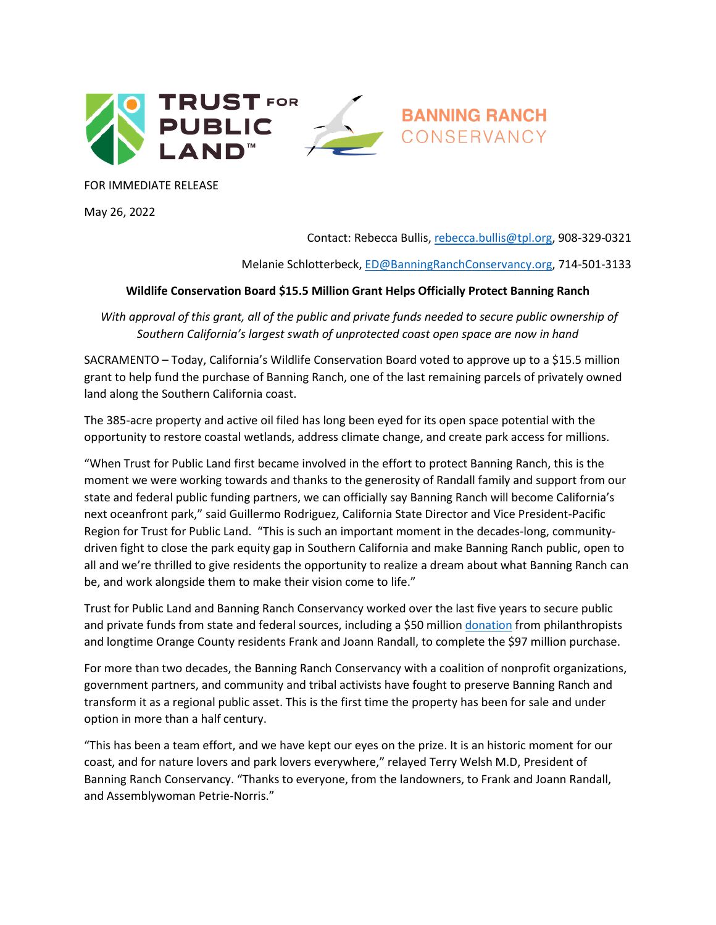

FOR IMMEDIATE RELEASE

May 26, 2022

Contact: Rebecca Bullis[, rebecca.bullis@tpl.org,](mailto:rebecca.bullis@tpl.org) 908-329-0321

Melanie Schlotterbeck, [ED@BanningRanchConservancy.org,](mailto:ED@BanningRanchConservancy.org) 714-501-3133

## **Wildlife Conservation Board \$15.5 Million Grant Helps Officially Protect Banning Ranch**

*With approval of this grant, all of the public and private funds needed to secure public ownership of Southern California's largest swath of unprotected coast open space are now in hand*

SACRAMENTO – Today, California's Wildlife Conservation Board voted to approve up to a \$15.5 million grant to help fund the purchase of Banning Ranch, one of the last remaining parcels of privately owned land along the Southern California coast.

The 385-acre property and active oil filed has long been eyed for its open space potential with the opportunity to restore coastal wetlands, address climate change, and create park access for millions.

"When Trust for Public Land first became involved in the effort to protect Banning Ranch, this is the moment we were working towards and thanks to the generosity of Randall family and support from our state and federal public funding partners, we can officially say Banning Ranch will become California's next oceanfront park," said Guillermo Rodriguez, California State Director and Vice President-Pacific Region for Trust for Public Land. "This is such an important moment in the decades-long, communitydriven fight to close the park equity gap in Southern California and make Banning Ranch public, open to all and we're thrilled to give residents the opportunity to realize a dream about what Banning Ranch can be, and work alongside them to make their vision come to life."

Trust for Public Land and Banning Ranch Conservancy worked over the last five years to secure public and private funds from state and federal sources, including a \$50 million [donation](https://www.tpl.org/media-room/private-384-acre-oilfield-one-step-closer-becoming-oceanfront-parkland-thanks-50-million) from philanthropists and longtime Orange County residents Frank and Joann Randall, to complete the \$97 million purchase.

For more than two decades, the Banning Ranch Conservancy with a coalition of nonprofit organizations, government partners, and community and tribal activists have fought to preserve Banning Ranch and transform it as a regional public asset. This is the first time the property has been for sale and under option in more than a half century.

"This has been a team effort, and we have kept our eyes on the prize. It is an historic moment for our coast, and for nature lovers and park lovers everywhere," relayed Terry Welsh M.D, President of Banning Ranch Conservancy. "Thanks to everyone, from the landowners, to Frank and Joann Randall, and Assemblywoman Petrie-Norris."